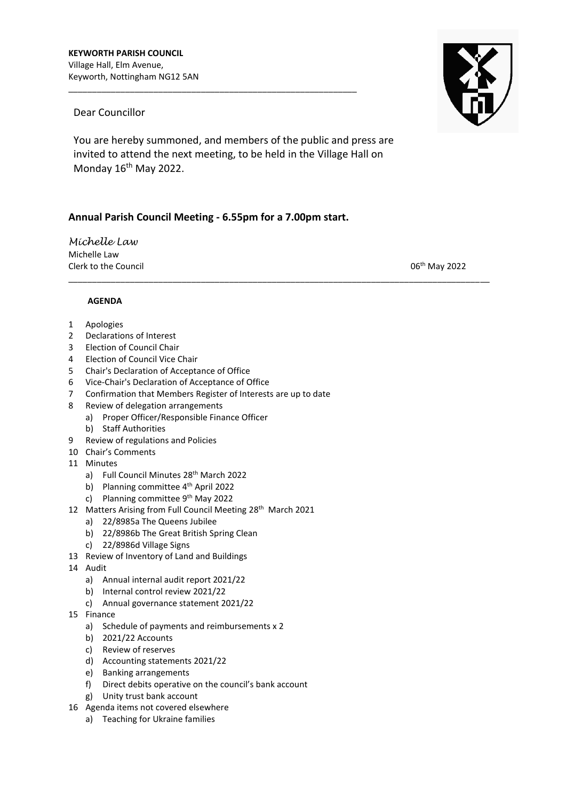## Dear Councillor

You are hereby summoned, and members of the public and press are invited to attend the next meeting, to be held in the Village Hall on Monday 16<sup>th</sup> May 2022.

\_\_\_\_\_\_\_\_\_\_\_\_\_\_\_\_\_\_\_\_\_\_\_\_\_\_\_\_\_\_\_\_\_\_\_\_\_\_\_\_\_\_\_\_\_\_\_\_\_\_\_\_\_\_\_\_\_\_\_\_\_\_\_\_\_\_\_\_\_\_\_\_\_\_\_\_\_\_\_\_\_\_\_\_\_\_\_\_\_

## **Annual Parish Council Meeting - 6.55pm for a 7.00pm start.**

\_\_\_\_\_\_\_\_\_\_\_\_\_\_\_\_\_\_\_\_\_\_\_\_\_\_\_\_\_\_\_\_\_\_\_\_\_\_\_\_\_\_\_\_\_\_\_\_\_\_\_\_\_\_\_\_\_\_\_\_\_

*Michelle Law*  Michelle Law Clerk to the Council and Council and Council 2002 2022 Clerk to the Council and Council 2002 2022

## **AGENDA**

- 1 Apologies
- 2 Declarations of Interest
- 3 Election of Council Chair
- 4 Election of Council Vice Chair
- 5 Chair's Declaration of Acceptance of Office
- 6 Vice-Chair's Declaration of Acceptance of Office
- 7 Confirmation that Members Register of Interests are up to date
- 8 Review of delegation arrangements
	- a) Proper Officer/Responsible Finance Officer
	- b) Staff Authorities
- 9 Review of regulations and Policies
- 10 Chair's Comments
- 11 Minutes
	- a) Full Council Minutes 28<sup>th</sup> March 2022
	- b) Planning committee 4<sup>th</sup> April 2022
	- c) Planning committee 9<sup>th</sup> May 2022
- 12 Matters Arising from Full Council Meeting 28<sup>th</sup> March 2021
	- a) 22/8985a The Queens Jubilee
	- b) 22/8986b The Great British Spring Clean
	- c) 22/8986d Village Signs
- 13 Review of Inventory of Land and Buildings
- 14 Audit
	- a) Annual internal audit report 2021/22
	- b) Internal control review 2021/22
	- c) Annual governance statement 2021/22
- 15 Finance
	- a) Schedule of payments and reimbursements x 2
	- b) 2021/22 Accounts
	- c) Review of reserves
	- d) Accounting statements 2021/22
	- e) Banking arrangements
	- f) Direct debits operative on the council's bank account
	- g) Unity trust bank account
- 16 Agenda items not covered elsewhere
	- a) Teaching for Ukraine families